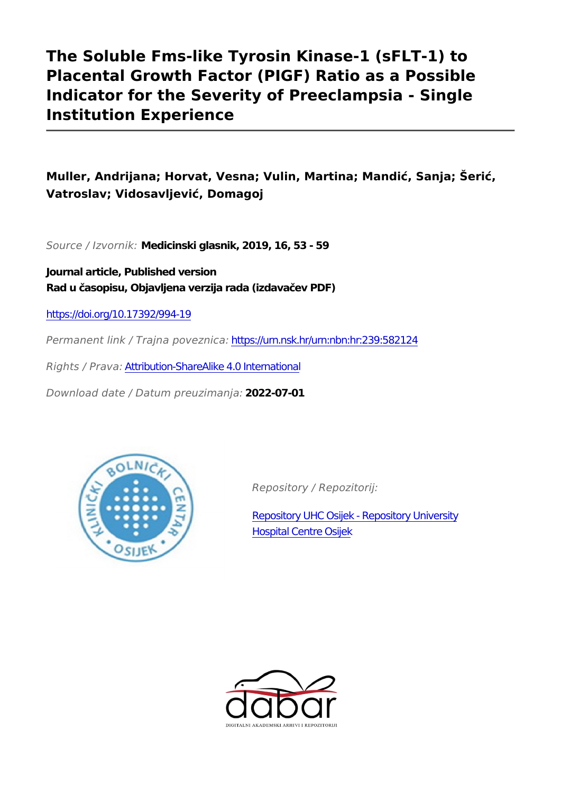# **The Soluble Fms-like Tyrosin Kinase-1 (sFLT-1) to Placental Growth Factor (PIGF) Ratio as a Possible Indicator for the Severity of Preeclampsia - Single Institution Experience**

## **Muller, Andrijana; Horvat, Vesna; Vulin, Martina; Mandić, Sanja; Šerić, Vatroslav; Vidosavljević, Domagoj**

*Source / Izvornik:* **Medicinski glasnik, 2019, 16, 53 - 59**

**Journal article, Published version Rad u časopisu, Objavljena verzija rada (izdavačev PDF)**

<https://doi.org/10.17392/994-19>

*Permanent link / Trajna poveznica:* <https://urn.nsk.hr/urn:nbn:hr:239:582124>

*Rights / Prava:* [Attribution-ShareAlike 4.0 International](http://creativecommons.org/licenses/by-sa/4.0/)

*Download date / Datum preuzimanja:* **2022-07-01**



*Repository / Repozitorij:*

[Repository UHC Osijek - Repository University](https://repozitorij.kbco.hr) [Hospital Centre Osijek](https://repozitorij.kbco.hr)

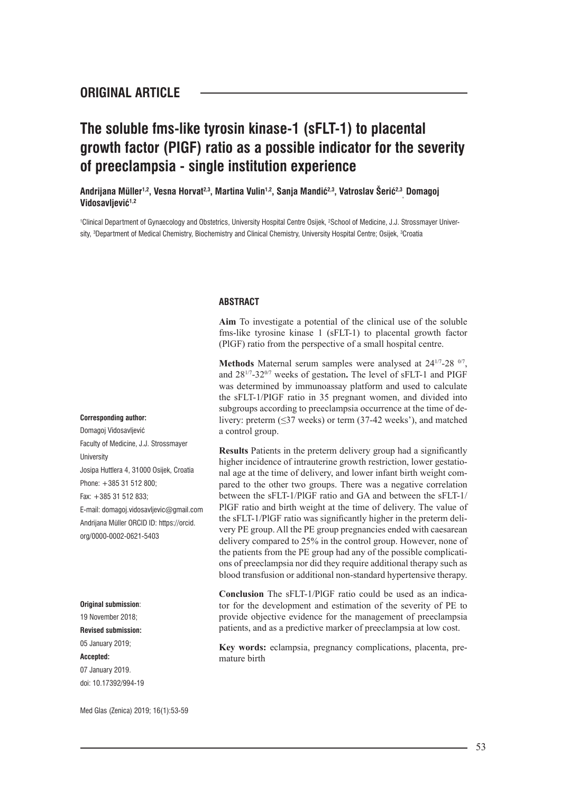## **The soluble fms-like tyrosin kinase-1 (sFLT-1) to placental growth factor (PIGF) ratio as a possible indicator for the severity of preeclampsia - single institution experience**

**Andrijana Müller1,2, Vesna Horvat2,3, Martina Vulin1,2, Sanja Mandić2,3, Vatroslav Šerić2,3 , Domagoj Vidosavljević1,2**

<sup>1</sup>Clinical Department of Gynaecology and Obstetrics, University Hospital Centre Osijek, <sup>2</sup>School of Medicine, J.J. Strossmayer University, <sup>s</sup>Department of Medical Chemistry, Biochemistry and Clinical Chemistry, University Hospital Centre; Osijek, <sup>s</sup>Croatia

#### **ABSTRACT**

**Aim** To investigate a potential of the clinical use of the soluble fms-like tyrosine kinase 1 (sFLT-1) to placental growth factor (PlGF) ratio from the perspective of a small hospital centre.

**Methods** Maternal serum samples were analysed at 24<sup>1/7</sup>-28 <sup>0/7</sup>, and 281/7-320/7 weeks of gestation**.** The level of sFLT-1 and PIGF was determined by immunoassay platform and used to calculate the sFLT-1/PIGF ratio in 35 pregnant women, and divided into subgroups according to preeclampsia occurrence at the time of delivery: preterm (≤37 weeks) or term (37-42 weeks'), and matched a control group.

**Results** Patients in the preterm delivery group had a significantly higher incidence of intrauterine growth restriction, lower gestational age at the time of delivery, and lower infant birth weight compared to the other two groups. There was a negative correlation between the sFLT-1/PlGF ratio and GA and between the sFLT-1/ PlGF ratio and birth weight at the time of delivery. The value of the sFLT-1/PlGF ratio was significantly higher in the preterm delivery PE group. All the PE group pregnancies ended with caesarean delivery compared to 25% in the control group. However, none of the patients from the PE group had any of the possible complications of preeclampsia nor did they require additional therapy such as blood transfusion or additional non-standard hypertensive therapy.

**Conclusion** The sFLT-1/PlGF ratio could be used as an indicator for the development and estimation of the severity of PE to provide objective evidence for the management of preeclampsia patients, and as a predictive marker of preeclampsia at low cost.

**Key words:** eclampsia, pregnancy complications, placenta, premature birth

**Corresponding author:**

Domagoj Vidosavljević Faculty of Medicine, J.J. Strossmayer University Josipa Huttlera 4, 31000 Osijek, Croatia Phone: +385 31 512 800; Fax: +385 31 512 833; E-mail: domagoj.vidosavljevic@gmail.com Andrijana Müller ORCID ID: https://orcid. org/0000-0002-0621-5403

#### **Original submission**:

19 November 2018; **Revised submission:** 05 January 2019; **Accepted:** 07 January 2019. doi: 10.17392/994-19

Med Glas (Zenica) 2019; 16(1):53-59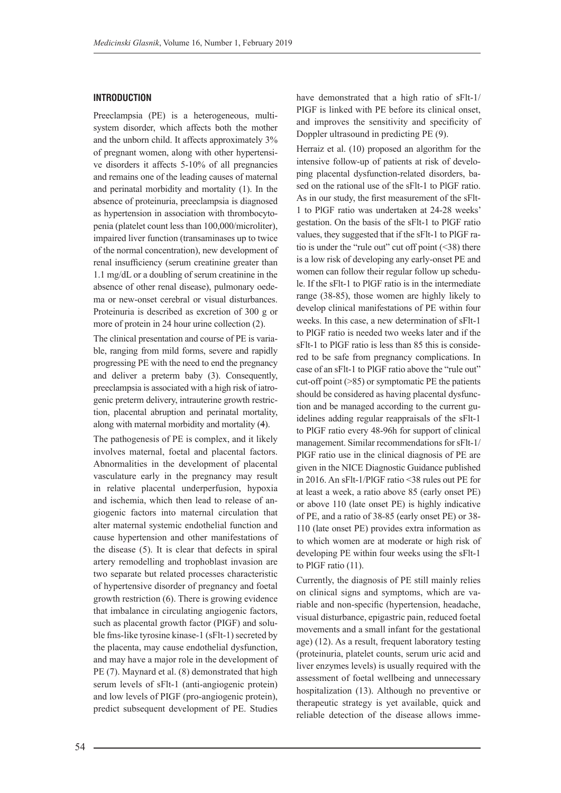#### **INTRODUCTION**

Preeclampsia (PE) is a heterogeneous, multisystem disorder, which affects both the mother and the unborn child. It affects approximately 3% of pregnant women, along with other hypertensive disorders it affects 5-10% of all pregnancies and remains one of the leading causes of maternal and perinatal morbidity and mortality (1). In the absence of proteinuria, preeclampsia is diagnosed as hypertension in association with thrombocytopenia (platelet count less than 100,000/microliter), impaired liver function (transaminases up to twice of the normal concentration), new development of renal insufficiency (serum creatinine greater than 1.1 mg/dL or a doubling of serum creatinine in the absence of other renal disease), pulmonary oedema or new-onset cerebral or visual disturbances. Proteinuria is described as excretion of 300 g or more of protein in 24 hour urine collection (2).

The clinical presentation and course of PE is variable, ranging from mild forms, severe and rapidly progressing PE with the need to end the pregnancy and deliver a preterm baby (3). Consequently, preeclampsia is associated with a high risk of iatrogenic preterm delivery, intrauterine growth restriction, placental abruption and perinatal mortality, along with maternal morbidity and mortality (4).

The pathogenesis of PE is complex, and it likely involves maternal, foetal and placental factors. Abnormalities in the development of placental vasculature early in the pregnancy may result in relative placental underperfusion, hypoxia and ischemia, which then lead to release of angiogenic factors into maternal circulation that alter maternal systemic endothelial function and cause hypertension and other manifestations of the disease (5). It is clear that defects in spiral artery remodelling and trophoblast invasion are two separate but related processes characteristic of hypertensive disorder of pregnancy and foetal growth restriction (6). There is growing evidence that imbalance in circulating angiogenic factors, such as placental growth factor (PIGF) and soluble fms-like tyrosine kinase-1 (sFlt-1) secreted by the placenta, may cause endothelial dysfunction, and may have a major role in the development of PE (7). Maynard et al. (8) demonstrated that high serum levels of sFlt-1 (anti-angiogenic protein) and low levels of PIGF (pro-angiogenic protein), predict subsequent development of PE. Studies

have demonstrated that a high ratio of sFlt-1/ PIGF is linked with PE before its clinical onset, and improves the sensitivity and specificity of Doppler ultrasound in predicting PE (9).

Herraiz et al. (10) proposed an algorithm for the intensive follow-up of patients at risk of developing placental dysfunction-related disorders, based on the rational use of the sFlt-1 to PlGF ratio. As in our study, the first measurement of the sFlt-1 to PlGF ratio was undertaken at 24-28 weeks' gestation. On the basis of the sFlt-1 to PlGF ratio values, they suggested that if the sFlt-1 to PlGF ratio is under the "rule out" cut off point  $(\leq 38)$  there is a low risk of developing any early-onset PE and women can follow their regular follow up schedule. If the sFlt-1 to PlGF ratio is in the intermediate range (38-85), those women are highly likely to develop clinical manifestations of PE within four weeks. In this case, a new determination of sFlt-1 to PlGF ratio is needed two weeks later and if the sFlt-1 to PlGF ratio is less than 85 this is considered to be safe from pregnancy complications. In case of an sFlt-1 to PlGF ratio above the "rule out" cut-off point (>85) or symptomatic PE the patients should be considered as having placental dysfunction and be managed according to the current guidelines adding regular reappraisals of the sFlt-1 to PlGF ratio every 48-96h for support of clinical management. Similar recommendations for sFlt-1/ PlGF ratio use in the clinical diagnosis of PE are given in the NICE Diagnostic Guidance published in 2016. An sFlt-1/PlGF ratio <38 rules out PE for at least a week, a ratio above 85 (early onset PE) or above 110 (late onset PE) is highly indicative of PE, and a ratio of 38-85 (early onset PE) or 38- 110 (late onset PE) provides extra information as to which women are at moderate or high risk of developing PE within four weeks using the sFlt-1 to PlGF ratio (11).

Currently, the diagnosis of PE still mainly relies on clinical signs and symptoms, which are variable and non-specific (hypertension, headache, visual disturbance, epigastric pain, reduced foetal movements and a small infant for the gestational age) (12). As a result, frequent laboratory testing (proteinuria, platelet counts, serum uric acid and liver enzymes levels) is usually required with the assessment of foetal wellbeing and unnecessary hospitalization (13). Although no preventive or therapeutic strategy is yet available, quick and reliable detection of the disease allows imme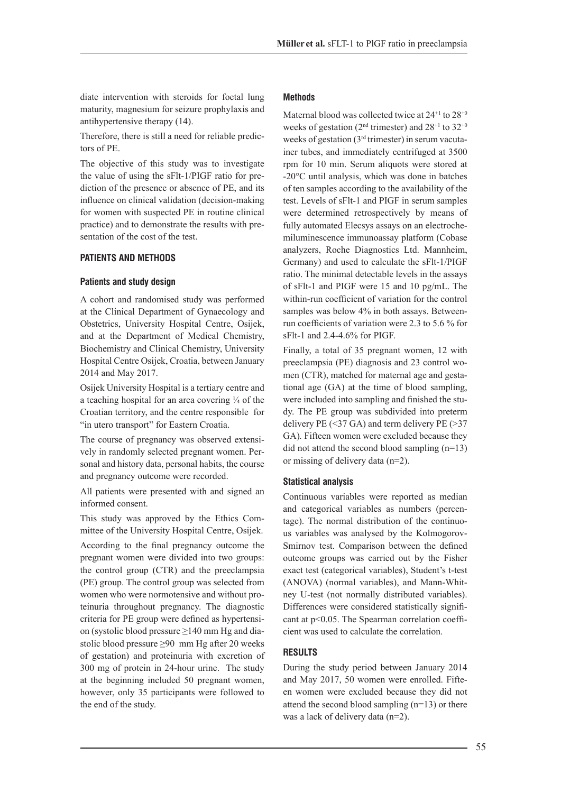diate intervention with steroids for foetal lung maturity, magnesium for seizure prophylaxis and antihypertensive therapy (14).

Therefore, there is still a need for reliable predictors of PE.

The objective of this study was to investigate the value of using the sFlt-1/PIGF ratio for prediction of the presence or absence of PE, and its influence on clinical validation (decision-making for women with suspected PE in routine clinical practice) and to demonstrate the results with presentation of the cost of the test.

#### **PATIENTS AND METHODS**

#### **Patients and study design**

A cohort and randomised study was performed at the Clinical Department of Gynaecology and Obstetrics, University Hospital Centre, Osijek, and at the Department of Medical Chemistry, Biochemistry and Clinical Chemistry, University Hospital Centre Osijek, Croatia, between January 2014 and May 2017.

Osijek University Hospital is a tertiary centre and a teaching hospital for an area covering  $\frac{1}{4}$  of the Croatian territory, and the centre responsible for "in utero transport" for Eastern Croatia.

The course of pregnancy was observed extensively in randomly selected pregnant women. Personal and history data, personal habits, the course and pregnancy outcome were recorded.

All patients were presented with and signed an informed consent.

This study was approved by the Ethics Committee of the University Hospital Centre, Osijek.

According to the final pregnancy outcome the pregnant women were divided into two groups: the control group (CTR) and the preeclampsia (PE) group. The control group was selected from women who were normotensive and without proteinuria throughout pregnancy. The diagnostic criteria for PE group were defined as hypertension (systolic blood pressure ≥140 mm Hg and diastolic blood pressure ≥90 mm Hg after 20 weeks of gestation) and proteinuria with excretion of 300 mg of protein in 24-hour urine. The study at the beginning included 50 pregnant women, however, only 35 participants were followed to the end of the study.

#### **Methods**

Maternal blood was collected twice at  $24^{+1}$  to  $28^{+0}$ weeks of gestation ( $2<sup>nd</sup>$  trimester) and  $28<sup>+1</sup>$  to  $32<sup>+0</sup>$ weeks of gestation (3rd trimester) in serum vacutainer tubes, and immediately centrifuged at 3500 rpm for 10 min. Serum aliquots were stored at -20°C until analysis, which was done in batches of ten samples according to the availability of the test. Levels of sFlt-1 and PIGF in serum samples were determined retrospectively by means of fully automated Elecsys assays on an electrochemiluminescence immunoassay platform (Cobase analyzers, Roche Diagnostics Ltd. Mannheim, Germany) and used to calculate the sFlt-1/PIGF ratio. The minimal detectable levels in the assays of sFlt-1 and PIGF were 15 and 10 pg/mL. The within-run coefficient of variation for the control samples was below 4% in both assays. Betweenrun coefficients of variation were 2.3 to 5.6 % for sFlt-1 and 2.4-4.6% for PIGF.

Finally, a total of 35 pregnant women, 12 with preeclampsia (PE) diagnosis and 23 control women (CTR), matched for maternal age and gestational age (GA) at the time of blood sampling, were included into sampling and finished the study. The PE group was subdivided into preterm delivery PE  $(\leq 37 \text{ GA})$  and term delivery PE  $(\geq 37 \text{ A})$ GA)*.* Fifteen women were excluded because they did not attend the second blood sampling (n=13) or missing of delivery data (n=2).

#### **Statistical analysis**

Continuous variables were reported as median and categorical variables as numbers (percentage). The normal distribution of the continuous variables was analysed by the Kolmogorov-Smirnov test. Comparison between the defined outcome groups was carried out by the Fisher exact test (categorical variables), Student's t-test (ANOVA) (normal variables), and Mann-Whitney U-test (not normally distributed variables). Differences were considered statistically significant at p<0.05. The Spearman correlation coefficient was used to calculate the correlation.

#### **RESULTS**

During the study period between January 2014 and May 2017, 50 women were enrolled. Fifteen women were excluded because they did not attend the second blood sampling (n=13) or there was a lack of delivery data (n=2).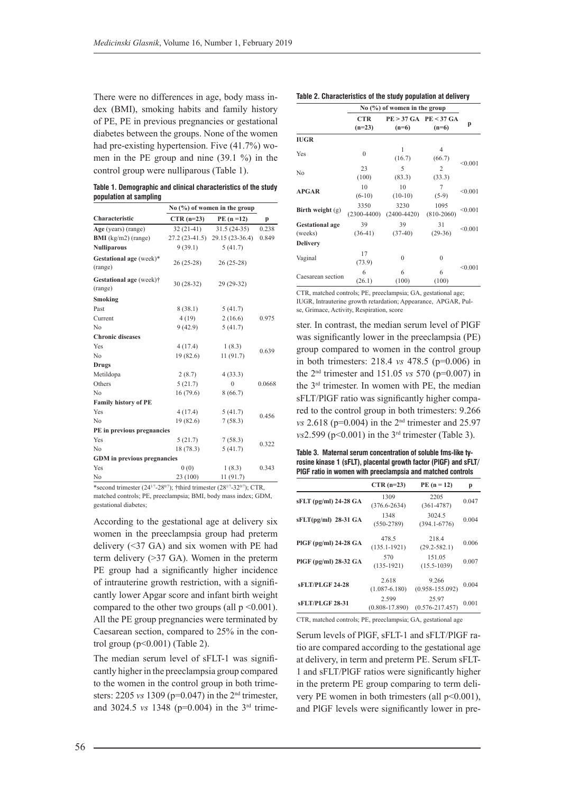There were no differences in age, body mass index (BMI), smoking habits and family history of PE, PE in previous pregnancies or gestational diabetes between the groups. None of the women had pre-existing hypertension. Five (41.7%) women in the PE group and nine (39.1 %) in the control group were nulliparous (Table 1).

**Table 1. Demographic and clinical characteristics of the study population at sampling**

|                                    | No $(\% )$ of women in the group |                                |        |  |
|------------------------------------|----------------------------------|--------------------------------|--------|--|
| Characteristic                     | $CTR (n=23)$                     | $PE(n=12)$                     | p      |  |
| Age (years) (range)                | $32(21-41)$                      | $31.5(24-35)$                  | 0.238  |  |
| <b>BMI</b> ( $kg/m2$ ) (range)     |                                  | 27.2 (23-41.5) 29.15 (23-36.4) | 0.849  |  |
| <b>Nulliparous</b>                 | 9(39.1)                          | 5(41.7)                        |        |  |
| Gestational age (week)*<br>(range) | $26(25-28)$                      | $26(25-28)$                    |        |  |
| Gestational age (week)†<br>(range) | $30(28-32)$                      | 29 (29-32)                     |        |  |
| Smoking                            |                                  |                                |        |  |
| Past                               | 8(38.1)                          | 5(41.7)                        |        |  |
| Current                            | 4(19)                            | 2(16.6)                        | 0.975  |  |
| N <sub>0</sub>                     | 9(42.9)                          | 5(41.7)                        |        |  |
| <b>Chronic diseases</b>            |                                  |                                |        |  |
| Yes                                | 4(17.4)                          | 1(8.3)                         | 0.639  |  |
| N <sub>0</sub>                     | 19(82.6)                         | 11(91.7)                       |        |  |
| <b>Drugs</b>                       |                                  |                                |        |  |
| Metildopa                          | 2(8.7)                           | 4(33.3)                        |        |  |
| Others                             | 5(21.7)                          | $\mathbf{0}$                   | 0.0668 |  |
| N <sub>0</sub>                     | 16(79.6)                         | 8(66.7)                        |        |  |
| <b>Family history of PE</b>        |                                  |                                |        |  |
| Yes                                | 4(17.4)                          | 5(41.7)                        | 0.456  |  |
| N <sub>0</sub>                     | 19(82.6)                         | 7(58.3)                        |        |  |
| PE in previous pregnancies         |                                  |                                |        |  |
| Yes                                | 5(21.7)                          | 7(58.3)                        | 0.322  |  |
| N <sub>0</sub>                     | 18 (78.3)                        | 5(41.7)                        |        |  |
| <b>GDM</b> in previous pregnancies |                                  |                                |        |  |
| Yes                                | 0(0)                             | 1(8.3)                         | 0.343  |  |
| No                                 | 23 (100)                         | 11(91.7)                       |        |  |

\*second trimester (24<sup>1/7</sup>-28<sup>0/7</sup>); †third trimester (28<sup>1/7</sup>-32<sup>0/7</sup>); CTR, matched controls; PE, preeclampsia; BMI, body mass index; GDM, gestational diabetes;

According to the gestational age at delivery six women in the preeclampsia group had preterm delivery (<37 GA) and six women with PE had term delivery (>37 GA). Women in the preterm PE group had a significantly higher incidence of intrauterine growth restriction, with a significantly lower Apgar score and infant birth weight compared to the other two groups (all  $p \le 0.001$ ). All the PE group pregnancies were terminated by Caesarean section, compared to 25% in the control group  $(p<0.001)$  (Table 2).

The median serum level of sFLT-1 was significantly higher in the preeclampsia group compared to the women in the control group in both trimesters: 2205 *vs* 1309 (p=0.047) in the 2nd trimester, and 3024.5 *vs* 1348 (p=0.004) in the 3rd trime-

#### **Table 2. Characteristics of the study population at delivery**

|                                   | $No$ (%) of women in the group |                         |                                      |         |
|-----------------------------------|--------------------------------|-------------------------|--------------------------------------|---------|
|                                   | <b>CTR</b><br>$(n=23)$         | $(n=6)$                 | $PE > 37$ GA $PE < 37$ GA<br>$(n=6)$ | p       |
| <b>IUGR</b>                       |                                |                         |                                      |         |
| Yes                               | $\theta$                       | 1<br>(16.7)             | 4<br>(66.7)                          | < 0.001 |
| No                                | 23<br>(100)                    | 5<br>(83.3)             | $\mathfrak{D}$<br>(33.3)             |         |
| <b>APGAR</b>                      | 10<br>$(6-10)$                 | 10<br>$(10-10)$         | 7<br>$(5-9)$                         | < 0.001 |
| Birth weight $(g)$                | 3350<br>$(2300 - 4400)$        | 3230<br>$(2400 - 4420)$ | 1095<br>$(810 - 2060)$               | < 0.001 |
| <b>Gestational age</b><br>(weeks) | 39<br>$(36-41)$                | 39<br>$(37-40)$         | 31<br>$(29-36)$                      | < 0.001 |
| <b>Delivery</b>                   |                                |                         |                                      |         |
| Vaginal                           | 17<br>(73.9)                   | $\Omega$                | $\Omega$                             | < 0.001 |
| Caesarean section                 | 6<br>(26.1)                    | 6<br>(100)              | 6<br>(100)                           |         |

CTR, matched controls; PE, preeclampsia; GA, gestational age; IUGR, Intrauterine growth retardation; Appearance, APGAR, Pulse, Grimace, Activity, Respiration, score

ster. In contrast, the median serum level of PlGF was significantly lower in the preeclampsia (PE) group compared to women in the control group in both trimesters: 218.4 *vs* 478.5 (p=0.006) in the 2nd trimester and 151.05 *vs* 570 (p=0.007) in the 3rd trimester. In women with PE, the median sFLT/PlGF ratio was significantly higher compared to the control group in both trimesters: 9.266 *vs* 2.618 (p=0.004) in the 2<sup>nd</sup> trimester and 25.97  $v<sub>s</sub>2.599$  ( $p<0.001$ ) in the 3<sup>rd</sup> trimester (Table 3).

**Table 3. Maternal serum concentration of soluble fms-like tyrosine kinase 1 (sFLT), placental growth factor (PlGF) and sFLT/ PlGF ratio in women with preeclampsia and matched controls**

|                           | $CTR (n=23)$                | $PE(n = 12)$                 | p     |
|---------------------------|-----------------------------|------------------------------|-------|
| $sFLT$ (pg/ml) 24-28 $GA$ | 1309<br>$(376.6 - 2634)$    | 2205<br>$(361 - 4787)$       | 0.047 |
| $sFLT(pg/ml)$ 28-31 GA    | 1348<br>$(550-2789)$        | 3024.5<br>$(394.1 - 6776)$   | 0.004 |
| PIGF (pg/ml) 24-28 GA     | 478.5<br>$(135.1 - 1921)$   | 218.4<br>$(29.2 - 582.1)$    | 0.006 |
| $PIGF$ (pg/ml) 28-32 $GA$ | 570<br>$(135-1921)$         | 151.05<br>$(15.5 - 1039)$    | 0.007 |
| <b>sFLT/PLGF 24-28</b>    | 2.618<br>$(1.087 - 6.180)$  | 9.266<br>$(0.958 - 155.092)$ | 0.004 |
| sFLT/PLGF 28-31           | 2.599<br>$(0.808 - 17.890)$ | 25.97<br>$(0.576 - 217.457)$ | 0.001 |

CTR, matched controls; PE, preeclampsia; GA, gestational age

Serum levels of PlGF, sFLT-1 and sFLT/PlGF ratio are compared according to the gestational age at delivery, in term and preterm PE. Serum sFLT-1 and sFLT/PlGF ratios were significantly higher in the preterm PE group comparing to term delivery PE women in both trimesters (all p<0.001), and PlGF levels were significantly lower in pre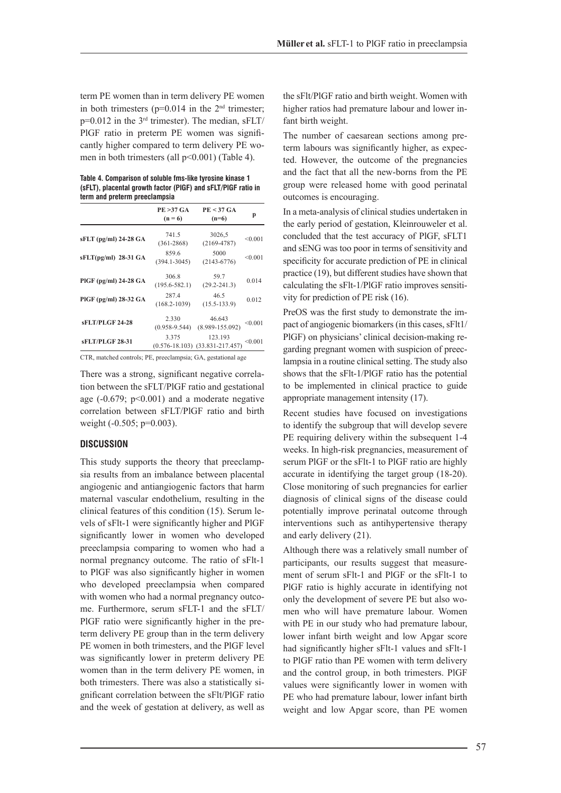term PE women than in term delivery PE women in both trimesters ( $p=0.014$  in the  $2<sup>nd</sup>$  trimester;  $p=0.012$  in the 3<sup>rd</sup> trimester). The median,  $sFLT/$ PlGF ratio in preterm PE women was significantly higher compared to term delivery PE women in both trimesters (all p<0.001) (Table 4).

| Table 4. Comparison of soluble fms-like tyrosine kinase 1     |
|---------------------------------------------------------------|
| (sFLT), placental growth factor (PIGF) and sFLT/PIGF ratio in |
| term and preterm preeclampsia                                 |

|                           | <b>PE &gt;37 GA</b><br>$(n = 6)$ | $PE < 37$ GA<br>$(n=6)$                            | p              |
|---------------------------|----------------------------------|----------------------------------------------------|----------------|
| $sFLT$ (pg/ml) 24-28 $GA$ | 741.5<br>$(361 - 2868)$          | 3026,5<br>$(2169 - 4787)$                          | < 0.001        |
| $sFLT(pg/ml)$ 28-31 GA    | 859.6<br>$(394.1 - 3045)$        | 5000<br>$(2143 - 6776)$                            | < 0.001        |
| $PIGF$ (pg/ml) 24-28 $GA$ | 306.8<br>$(195.6 - 582.1)$       | 59.7<br>$(29.2 - 241.3)$                           | 0.014          |
| $PIGF$ (pg/ml) 28-32 $GA$ | 287.4<br>$(168.2 - 1039)$        | 46.5<br>$(15.5 - 133.9)$                           | 0.012          |
| sFLT/PLGF 24-28           | 2.330<br>$(0.958 - 9.544)$       | 46.643<br>$(8.989 - 155.092)$                      | < 0.001        |
| <b>sFLT/PLGF 28-31</b>    | 3.375                            | 123.193<br>$(0.576 - 18.103)$ $(33.831 - 217.457)$ | $<$ 0.001 $\,$ |

CTR, matched controls; PE, preeclampsia; GA, gestational age

There was a strong, significant negative correlation between the sFLT/PlGF ratio and gestational age  $(-0.679; p<0.001)$  and a moderate negative correlation between sFLT/PlGF ratio and birth weight (-0.505; p=0.003).

#### **DISCUSSION**

This study supports the theory that preeclampsia results from an imbalance between placental angiogenic and antiangiogenic factors that harm maternal vascular endothelium, resulting in the clinical features of this condition (15). Serum levels of sFlt-1 were significantly higher and PlGF significantly lower in women who developed preeclampsia comparing to women who had a normal pregnancy outcome. The ratio of sFlt-1 to PlGF was also significantly higher in women who developed preeclampsia when compared with women who had a normal pregnancy outcome. Furthermore, serum sFLT-1 and the sFLT/ PlGF ratio were significantly higher in the preterm delivery PE group than in the term delivery PE women in both trimesters, and the PlGF level was significantly lower in preterm delivery PE women than in the term delivery PE women, in both trimesters. There was also a statistically significant correlation between the sFlt/PlGF ratio and the week of gestation at delivery, as well as the sFlt/PlGF ratio and birth weight. Women with higher ratios had premature labour and lower infant birth weight.

The number of caesarean sections among preterm labours was significantly higher, as expected. However, the outcome of the pregnancies and the fact that all the new-borns from the PE group were released home with good perinatal outcomes is encouraging.

In a meta-analysis of clinical studies undertaken in the early period of gestation, Kleinrouweler et al. concluded that the test accuracy of PlGF, sFLT1 and sENG was too poor in terms of sensitivity and specificity for accurate prediction of PE in clinical practice (19), but different studies have shown that calculating the sFlt-1/PlGF ratio improves sensitivity for prediction of PE risk (16).

PreOS was the first study to demonstrate the impact of angiogenic biomarkers (in this cases, sFlt1/ PlGF) on physicians' clinical decision-making regarding pregnant women with suspicion of preeclampsia in a routine clinical setting. The study also shows that the sFlt-1/PlGF ratio has the potential to be implemented in clinical practice to guide appropriate management intensity (17).

Recent studies have focused on investigations to identify the subgroup that will develop severe PE requiring delivery within the subsequent 1-4 weeks. In high-risk pregnancies, measurement of serum PlGF or the sFlt-1 to PlGF ratio are highly accurate in identifying the target group (18-20). Close monitoring of such pregnancies for earlier diagnosis of clinical signs of the disease could potentially improve perinatal outcome through interventions such as antihypertensive therapy and early delivery (21).

Although there was a relatively small number of participants, our results suggest that measurement of serum sFlt-1 and PlGF or the sFlt-1 to PlGF ratio is highly accurate in identifying not only the development of severe PE but also women who will have premature labour. Women with PE in our study who had premature labour, lower infant birth weight and low Apgar score had significantly higher sFlt-1 values and sFlt-1 to PlGF ratio than PE women with term delivery and the control group, in both trimesters. PlGF values were significantly lower in women with PE who had premature labour, lower infant birth weight and low Apgar score, than PE women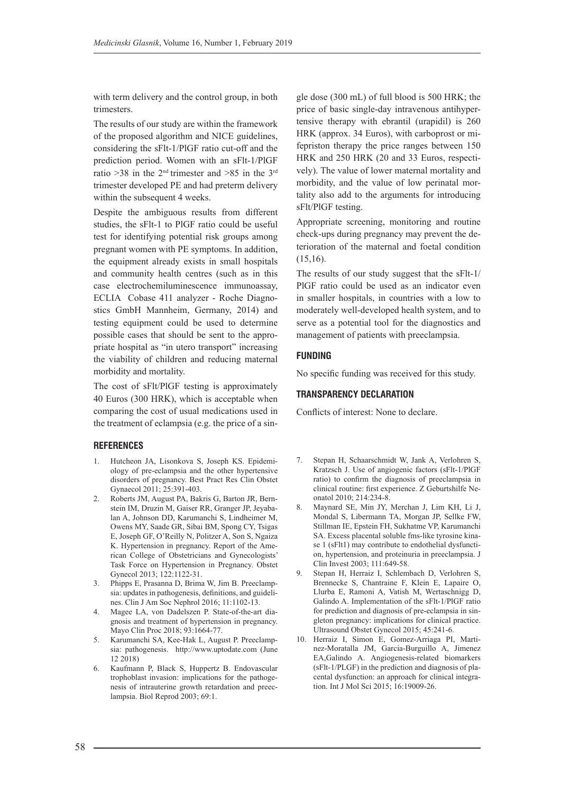with term delivery and the control group, in both trimesters.

The results of our study are within the framework of the proposed algorithm and NICE guidelines, considering the sFlt-1/PlGF ratio cut-off and the prediction period. Women with an sFlt-1/PlGF ratio >38 in the 2<sup>nd</sup> trimester and >85 in the 3<sup>rd</sup> trimester developed PE and had preterm delivery within the subsequent 4 weeks.

Despite the ambiguous results from different studies, the sFlt-1 to PlGF ratio could be useful test for identifying potential risk groups among pregnant women with PE symptoms. In addition, the equipment already exists in small hospitals and community health centres (such as in this case electrochemiluminescence immunoassay, ECLIA Cobase 411 analyzer - Roche Diagnostics GmbH Mannheim, Germany, 2014) and testing equipment could be used to determine possible cases that should be sent to the appropriate hospital as "in utero transport" increasing the viability of children and reducing maternal morbidity and mortality.

The cost of sFlt/PlGF testing is approximately 40 Euros (300 HRK), which is acceptable when comparing the cost of usual medications used in the treatment of eclampsia (e.g. the price of a sin-

#### **REFERENCES**

- 1. Hutcheon JA, Lisonkova S, Joseph KS. Epidemiology of pre-eclampsia and the other hypertensive disorders of pregnancy. Best Pract Res Clin Obstet Gynaecol 2011; 25:391-403.
- 2. Roberts JM, August PA, Bakris G, Barton JR, Bernstein IM, Druzin M, Gaiser RR, Granger JP, Jeyabalan A, Johnson DD, Karumanchi S, Lindheimer M, Owens MY, Saade GR, Sibai BM, Spong CY, Tsigas E, Joseph GF, O'Reilly N, Politzer A, Son S, Ngaiza K. Hypertension in pregnancy. Report of the American College of Obstetricians and Gynecologists' Task Force on Hypertension in Pregnancy. Obstet Gynecol 2013; 122:1122-31.
- 3. Phipps E, Prasanna D, Brima W, Jim B. Preeclampsia: updates in pathogenesis, definitions, and guidelines. Clin J Am Soc Nephrol 2016; 11:1102-13.
- 4. Magee LA, von Dadelszen P. State-of-the-art diagnosis and treatment of hypertension in pregnancy. Mayo Clin Proc 2018; 93:1664-77.
- 5. Karumanchi SA, Kee-Hak L, August P. Preeclampsia: pathogenesis. http://www.uptodate.com (June 12 2018)
- 6. Kaufmann P, Black S, Huppertz B. Endovascular trophoblast invasion: implications for the pathogenesis of intrauterine growth retardation and preeclampsia. Biol Reprod 2003; 69:1.

gle dose (300 mL) of full blood is 500 HRK; the price of basic single-day intravenous antihypertensive therapy with ebrantil (urapidil) is 260 HRK (approx. 34 Euros), with carboprost or mifepriston therapy the price ranges between 150 HRK and 250 HRK (20 and 33 Euros, respectively). The value of lower maternal mortality and morbidity, and the value of low perinatal mortality also add to the arguments for introducing sFlt/PlGF testing.

Appropriate screening, monitoring and routine check-ups during pregnancy may prevent the deterioration of the maternal and foetal condition (15,16).

The results of our study suggest that the sFlt-1/ PlGF ratio could be used as an indicator even in smaller hospitals, in countries with a low to moderately well-developed health system, and to serve as a potential tool for the diagnostics and management of patients with preeclampsia.

### **FUNDING**

No specific funding was received for this study.

### **TRANSPARENCY DECLARATION**

Conflicts of interest: None to declare.

- 7. Stepan H, Schaarschmidt W, Jank A, Verlohren S, Kratzsch J. Use of angiogenic factors (sFlt-1/PlGF ratio) to confirm the diagnosis of preeclampsia in clinical routine: first experience. Z Geburtshilfe Neonatol 2010; 214:234-8.
- 8. Maynard SE, Min JY, Merchan J, Lim KH, Li J, Mondal S, Libermann TA, Morgan JP, Sellke FW, Stillman IE, Epstein FH, Sukhatme VP, Karumanchi SA. Excess placental soluble fms-like tyrosine kinase 1 (sFlt1) may contribute to endothelial dysfunction, hypertension, and proteinuria in preeclampsia. J Clin Invest 2003; 111:649-58.
- 9. Stepan H, Herraiz I, Schlembach D, Verlohren S, Brennecke S, Chantraine F, Klein E, Lapaire O, Llurba E, Ramoni A, Vatish M, Wertaschnigg D, Galindo A. Implementation of the sFlt-1/PlGF ratio for prediction and diagnosis of pre-eclampsia in singleton pregnancy: implications for clinical practice. Ultrasound Obstet Gynecol 2015; 45:241-6.
- 10. Herraiz I, Simon E, Gomez-Arriaga PI, Martinez-Moratalla JM, Garcia-Burguillo A, Jimenez EA,Galindo A. Angiogenesis-related biomarkers (sFlt-1/PLGF) in the prediction and diagnosis of placental dysfunction: an approach for clinical integration. Int J Mol Sci 2015; 16:19009-26.